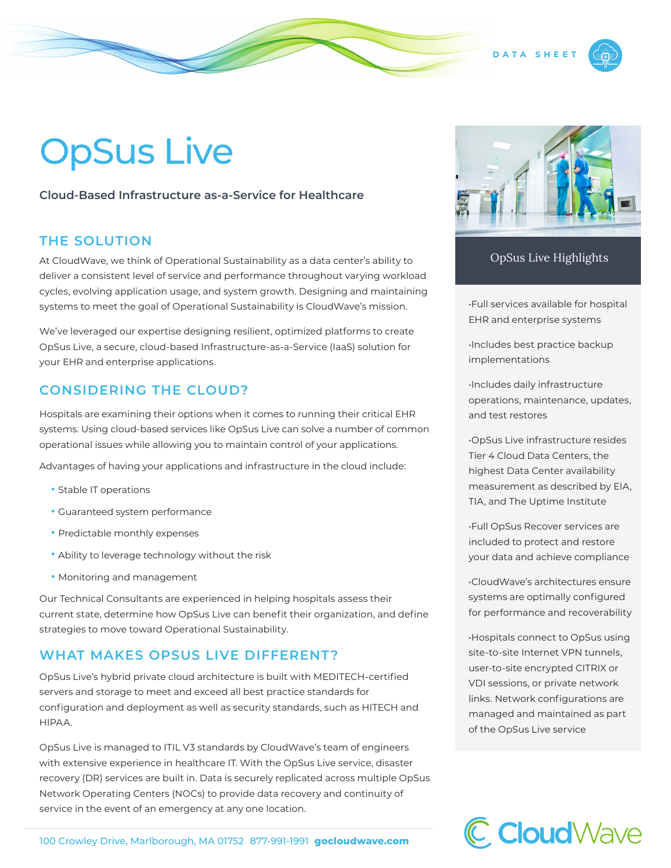# OpSus Live

#### **Cloud-Based Infrastructure as-a-Service for Healthcare**

# **THE SOLUTION**

At CloudWave, we think of Operational Sustainability as a data center's ability to deliver a consistent level of service and performance throughout varying workload cycles, evolving application usage, and system growth. Designing and maintaining systems to meet the goal of Operational Sustainability is CloudWave's mission.

We've leveraged our expertise designing resilient, optimized platforms to create OpSus Live, a secure, cloud-based Infrastructure-as-a-Service (IaaS) solution for your EHR and enterprise applications.

## **CONSIDERING THE CLOUD?**

Hospitals are examining their options when it comes to running their critical EHR systems. Using cloud-based services like OpSus Live can solve a number of common operational issues while allowing you to maintain control of your applications.

Advantages of having your applications and infrastructure in the cloud include:

- Stable IT operations
- Guaranteed system performance
- Predictable monthly expenses
- Ability to leverage technology without the risk
- Monitoring and management

Our Technical Consultants are experienced in helping hospitals assess their current state, determine how OpSus Live can benefit their organization, and define strategies to move toward Operational Sustainability.

## **WHAT MAKES OPSUS LIVE DIFFERENT?**

OpSus Live's hybrid private cloud architecture is built with MEDITECH-certified servers and storage to meet and exceed all best practice standards for configuration and deployment as well as security standards, such as HITECH and HIPAA.

OpSus Live is managed to ITIL V3 standards by CloudWave's team of engineers with extensive experience in healthcare IT. With the OpSus Live service, disaster recovery (DR) services are built in. Data is securely replicated across multiple OpSus Network Operating Centers (NOCs) to provide data recovery and continuity of service in the event of an emergency at any one location.



OpSus Live Highlights

•Full services available for hospital EHR and enterprise systems

•Includes best practice backup implementations

•Includes daily infrastructure operations, maintenance, updates, and test restores

•OpSus Live infrastructure resides Tier 4 Cloud Data Centers, the highest Data Center availability measurement as described by EIA, TIA, and The Uptime Institute

•Full OpSus Recover services are included to protect and restore your data and achieve compliance

•CloudWave's architectures ensure systems are optimally configured for performance and recoverability

•Hospitals connect to OpSus using site-to-site Internet VPN tunnels, user-to-site encrypted CITRIX or VDI sessions, or private network links. Network configurations are managed and maintained as part of the OpSus Live service